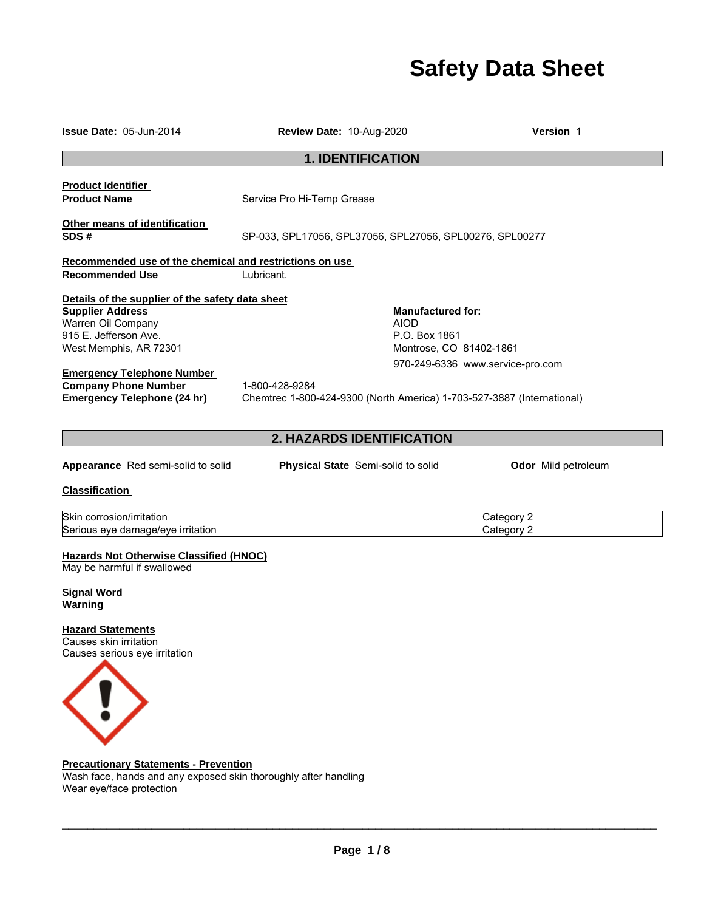# **Safety Data Sheet**

| <b>Issue Date: 05-Jun-2014</b>                                                | Review Date: 10-Aug-2020                                               | Version 1                        |  |  |
|-------------------------------------------------------------------------------|------------------------------------------------------------------------|----------------------------------|--|--|
|                                                                               | <b>1. IDENTIFICATION</b>                                               |                                  |  |  |
| <b>Product Identifier</b><br><b>Product Name</b>                              | Service Pro Hi-Temp Grease                                             |                                  |  |  |
| Other means of identification<br>SDS#                                         | SP-033, SPL17056, SPL37056, SPL27056, SPL00276, SPL00277               |                                  |  |  |
| Recommended use of the chemical and restrictions on use                       |                                                                        |                                  |  |  |
| <b>Recommended Use</b>                                                        | Lubricant.                                                             |                                  |  |  |
| Details of the supplier of the safety data sheet                              |                                                                        |                                  |  |  |
| <b>Supplier Address</b>                                                       | <b>Manufactured for:</b>                                               |                                  |  |  |
| Warren Oil Company                                                            | <b>AIOD</b>                                                            |                                  |  |  |
| 915 E. Jefferson Ave.<br>West Memphis, AR 72301                               | P.O. Box 1861<br>Montrose, CO 81402-1861                               |                                  |  |  |
|                                                                               |                                                                        |                                  |  |  |
| <b>Emergency Telephone Number</b>                                             |                                                                        | 970-249-6336 www.service-pro.com |  |  |
| <b>Company Phone Number</b>                                                   | 1-800-428-9284                                                         |                                  |  |  |
| <b>Emergency Telephone (24 hr)</b>                                            | Chemtrec 1-800-424-9300 (North America) 1-703-527-3887 (International) |                                  |  |  |
|                                                                               |                                                                        |                                  |  |  |
|                                                                               | 2. HAZARDS IDENTIFICATION                                              |                                  |  |  |
| Appearance Red semi-solid to solid                                            | <b>Physical State</b> Semi-solid to solid                              | Odor Mild petroleum              |  |  |
| <b>Classification</b>                                                         |                                                                        |                                  |  |  |
| Skin corrosion/irritation                                                     |                                                                        | Category 2                       |  |  |
| Serious eye damage/eye irritation                                             |                                                                        | Category 2                       |  |  |
| <b>Hazards Not Otherwise Classified (HNOC)</b><br>May be harmful if swallowed |                                                                        |                                  |  |  |
| <b>Signal Word</b><br>Warning                                                 |                                                                        |                                  |  |  |
| <b>Hazard Statements</b>                                                      |                                                                        |                                  |  |  |
| Causes skin irritation<br>Causes serious eye irritation                       |                                                                        |                                  |  |  |
|                                                                               |                                                                        |                                  |  |  |
|                                                                               |                                                                        |                                  |  |  |

#### **Precautionary Statements - Prevention**

Wash face, hands and any exposed skin thoroughly after handling Wear eye/face protection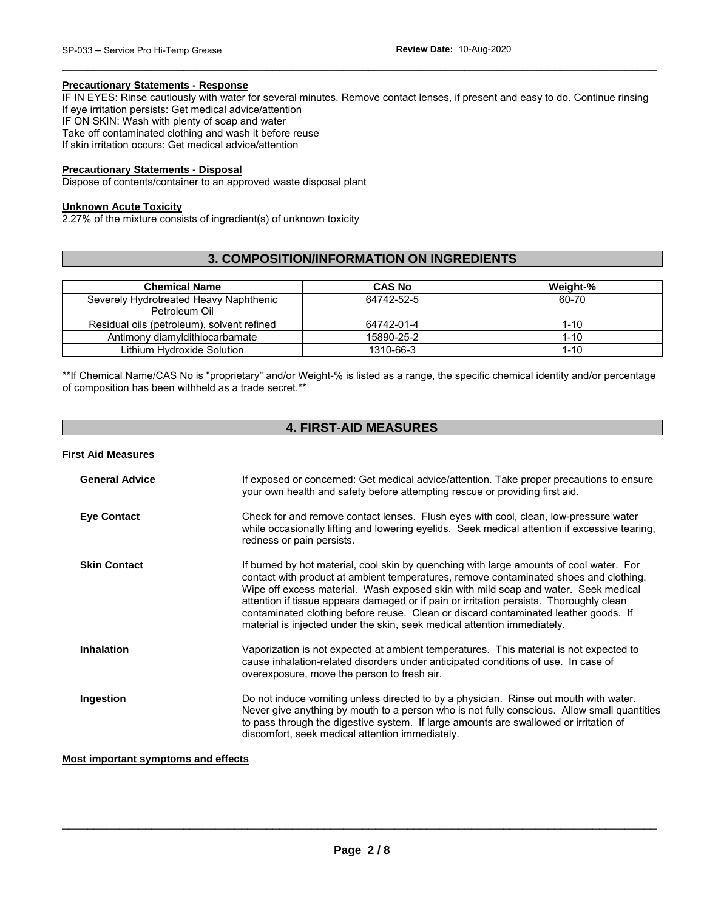#### **Precautionary Statements - Response**

IF IN EYES: Rinse cautiously with water for several minutes. Remove contact lenses, if present and easy to do. Continue rinsing If eye irritation persists: Get medical advice/attention IF ON SKIN: Wash with plenty of soap and water Take off contaminated clothing and wash it before reuse If skin irritation occurs: Get medical advice/attention

\_\_\_\_\_\_\_\_\_\_\_\_\_\_\_\_\_\_\_\_\_\_\_\_\_\_\_\_\_\_\_\_\_\_\_\_\_\_\_\_\_\_\_\_\_\_\_\_\_\_\_\_\_\_\_\_\_\_\_\_\_\_\_\_\_\_\_\_\_\_\_\_\_\_\_\_\_\_\_\_\_\_\_\_\_\_\_\_\_\_\_\_\_

#### **Precautionary Statements - Disposal**

Dispose of contents/container to an approved waste disposal plant

#### **Unknown Acute Toxicity**

2.27% of the mixture consists of ingredient(s) of unknown toxicity

## **3. COMPOSITION/INFORMATION ON INGREDIENTS**

| <b>Chemical Name</b>                       | <b>CAS No</b> | Weight-% |
|--------------------------------------------|---------------|----------|
| Severely Hydrotreated Heavy Naphthenic     | 64742-52-5    | 60-70    |
| Petroleum Oil                              |               |          |
| Residual oils (petroleum), solvent refined | 64742-01-4    | 1-10     |
| Antimony diamyldithiocarbamate             | 15890-25-2    | $1 - 10$ |
| Lithium Hvdroxide Solution                 | 1310-66-3     | $1 - 10$ |

\*\*If Chemical Name/CAS No is "proprietary" and/or Weight-% is listed as a range, the specific chemical identity and/or percentage of composition has been withheld as a trade secret.\*\*

## **4. FIRST-AID MEASURES**

#### **First Aid Measures**

| <b>General Advice</b> | If exposed or concerned: Get medical advice/attention. Take proper precautions to ensure<br>your own health and safety before attempting rescue or providing first aid.                                                                                                                                                                                                                                                                                                                                                              |
|-----------------------|--------------------------------------------------------------------------------------------------------------------------------------------------------------------------------------------------------------------------------------------------------------------------------------------------------------------------------------------------------------------------------------------------------------------------------------------------------------------------------------------------------------------------------------|
| <b>Eye Contact</b>    | Check for and remove contact lenses. Flush eyes with cool, clean, low-pressure water<br>while occasionally lifting and lowering eyelids. Seek medical attention if excessive tearing,<br>redness or pain persists.                                                                                                                                                                                                                                                                                                                   |
| <b>Skin Contact</b>   | If burned by hot material, cool skin by quenching with large amounts of cool water. For<br>contact with product at ambient temperatures, remove contaminated shoes and clothing.<br>Wipe off excess material. Wash exposed skin with mild soap and water. Seek medical<br>attention if tissue appears damaged or if pain or irritation persists. Thoroughly clean<br>contaminated clothing before reuse. Clean or discard contaminated leather goods. If<br>material is injected under the skin, seek medical attention immediately. |
| <b>Inhalation</b>     | Vaporization is not expected at ambient temperatures. This material is not expected to<br>cause inhalation-related disorders under anticipated conditions of use. In case of<br>overexposure, move the person to fresh air.                                                                                                                                                                                                                                                                                                          |
| Ingestion             | Do not induce vomiting unless directed to by a physician. Rinse out mouth with water.<br>Never give anything by mouth to a person who is not fully conscious. Allow small quantities<br>to pass through the digestive system. If large amounts are swallowed or irritation of<br>discomfort, seek medical attention immediately.                                                                                                                                                                                                     |

#### **Most important symptoms and effects**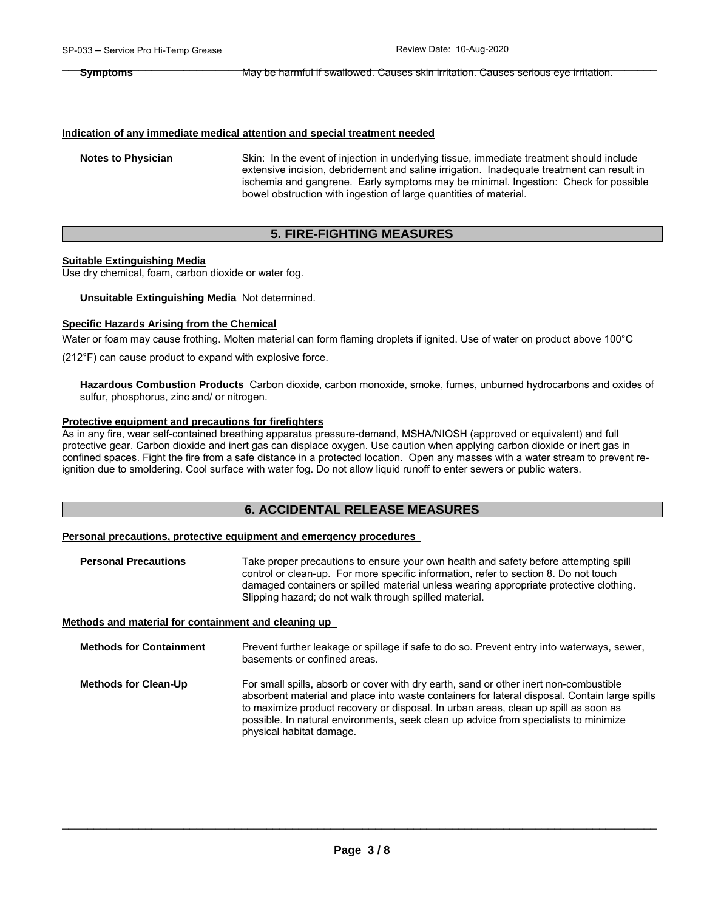#### **Indication of any immediate medical attention and special treatment needed**

**Notes to Physician** Skin: In the event of injection in underlying tissue, immediate treatment should include extensive incision, debridement and saline irrigation. Inadequate treatment can result in ischemia and gangrene. Early symptoms may be minimal. Ingestion: Check for possible bowel obstruction with ingestion of large quantities of material.

## **5. FIRE-FIGHTING MEASURES**

#### **Suitable Extinguishing Media**

Use dry chemical, foam, carbon dioxide or water fog.

#### **Unsuitable Extinguishing Media** Not determined.

#### **Specific Hazards Arising from the Chemical**

Water or foam may cause frothing. Molten material can form flaming droplets if ignited. Use of water on product above 100°C

(212°F) can cause product to expand with explosive force.

**Hazardous Combustion Products** Carbon dioxide, carbon monoxide, smoke, fumes, unburned hydrocarbons and oxides of sulfur, phosphorus, zinc and/ or nitrogen.

#### **Protective equipment and precautions for firefighters**

As in any fire, wear self-contained breathing apparatus pressure-demand, MSHA/NIOSH (approved or equivalent) and full protective gear. Carbon dioxide and inert gas can displace oxygen. Use caution when applying carbon dioxide or inert gas in confined spaces. Fight the fire from a safe distance in a protected location. Open any masses with a water stream to prevent reignition due to smoldering. Cool surface with water fog. Do not allow liquid runoff to enter sewers or public waters.

### **6. ACCIDENTAL RELEASE MEASURES**

#### **Personal precautions, protective equipment and emergency procedures**

| <b>Personal Precautions</b> | Take proper precautions to ensure your own health and safety before attempting spill   |  |  |
|-----------------------------|----------------------------------------------------------------------------------------|--|--|
|                             | control or clean-up. For more specific information, refer to section 8. Do not touch   |  |  |
|                             | damaged containers or spilled material unless wearing appropriate protective clothing. |  |  |
|                             | Slipping hazard; do not walk through spilled material.                                 |  |  |

#### **Methods and material for containment and cleaning up**

| <b>Methods for Containment</b> | Prevent further leakage or spillage if safe to do so. Prevent entry into waterways, sewer,<br>basements or confined areas.                                                                                                                                                                                                                                                                        |
|--------------------------------|---------------------------------------------------------------------------------------------------------------------------------------------------------------------------------------------------------------------------------------------------------------------------------------------------------------------------------------------------------------------------------------------------|
| <b>Methods for Clean-Up</b>    | For small spills, absorb or cover with dry earth, sand or other inert non-combustible<br>absorbent material and place into waste containers for lateral disposal. Contain large spills<br>to maximize product recovery or disposal. In urban areas, clean up spill as soon as<br>possible. In natural environments, seek clean up advice from specialists to minimize<br>physical habitat damage. |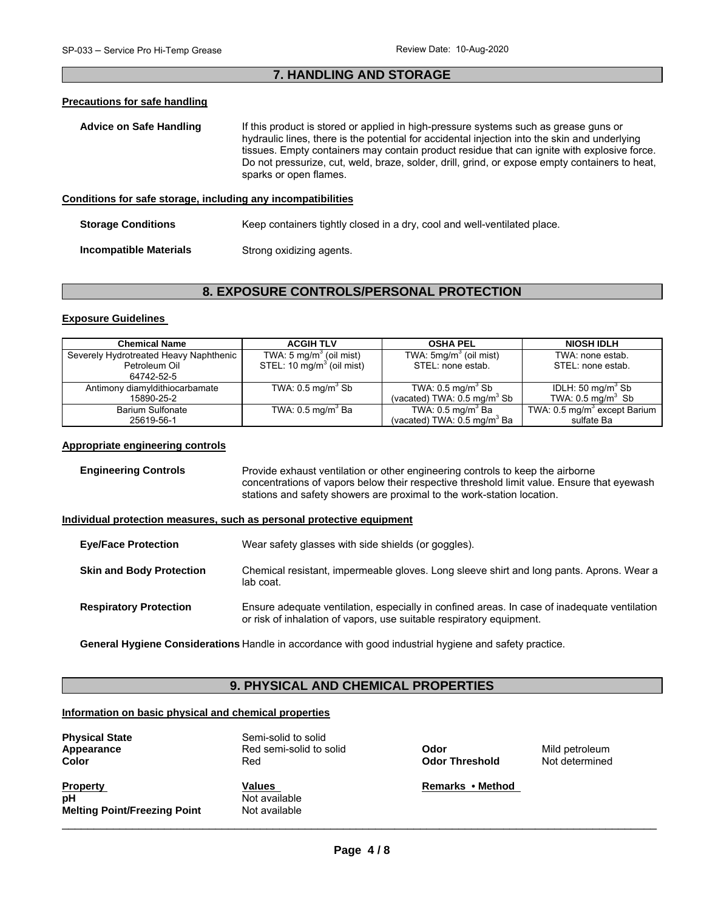## \_\_\_\_\_\_\_\_\_\_\_\_\_\_\_\_\_\_\_\_\_\_\_\_\_\_\_\_\_\_\_\_\_\_\_\_\_\_\_\_\_\_\_\_\_\_\_\_\_\_\_\_\_\_\_\_\_\_\_\_\_\_\_\_\_\_\_\_\_\_\_\_\_\_\_\_\_\_\_\_\_\_\_\_\_\_\_\_\_\_\_\_\_ **7. HANDLING AND STORAGE**

#### **Precautions for safe handling**

| <b>Advice on Safe Handling</b>                               | If this product is stored or applied in high-pressure systems such as grease guns or<br>hydraulic lines, there is the potential for accidental injection into the skin and underlying<br>tissues. Empty containers may contain product residue that can ignite with explosive force.<br>Do not pressurize, cut, weld, braze, solder, drill, grind, or expose empty containers to heat,<br>sparks or open flames. |
|--------------------------------------------------------------|------------------------------------------------------------------------------------------------------------------------------------------------------------------------------------------------------------------------------------------------------------------------------------------------------------------------------------------------------------------------------------------------------------------|
| Conditions for safe storage, including any incompatibilities |                                                                                                                                                                                                                                                                                                                                                                                                                  |
| <b>Storage Conditions</b>                                    | Keep containers tightly closed in a dry, cool and well-ventilated place.                                                                                                                                                                                                                                                                                                                                         |

**Incompatible Materials Strong oxidizing agents.** 

### **8. EXPOSURE CONTROLS/PERSONAL PROTECTION**

#### **Exposure Guidelines**

| <b>Chemical Name</b>                   | <b>ACGIH TLV</b>                                                             | <b>OSHA PEL</b>                        | <b>NIOSH IDLH</b>                        |
|----------------------------------------|------------------------------------------------------------------------------|----------------------------------------|------------------------------------------|
| Severely Hydrotreated Heavy Naphthenic | TWA: 5 mg/m <sup>3</sup> (oil mist)<br>STEL: 10 mg/m <sup>3</sup> (oil mist) | TWA: 5mg/m <sup>3</sup> (oil mist)     | TWA: none estab.                         |
| Petroleum Oil                          |                                                                              | STEL: none estab.                      | STEL: none estab.                        |
| 64742-52-5                             |                                                                              |                                        |                                          |
| Antimony diamyldithiocarbamate         | TWA: $0.5$ mg/m <sup>3</sup> Sb                                              | TWA: $0.5 \text{ mg/m}^3$ Sb           | IDLH: 50 mg/m <sup>3</sup> Sb            |
| 15890-25-2                             |                                                                              | (vacated) TWA: $0.5 \text{ mg/m}^3$ Sb | TWA: $0.5 \text{ mg/m}^3$ Sb             |
| <b>Barium Sulfonate</b>                | TWA: $0.5 \text{ mg/m}^3$ Ba                                                 | TWA: $0.5 \text{ mg/m}^3$ Ba           | TWA: 0.5 mg/m <sup>3</sup> except Barium |
| 25619-56-1                             |                                                                              | (vacated) TWA: $0.5 \text{ mg/m}^3$ Ba | sulfate Ba                               |

#### **Appropriate engineering controls**

**Engineering Controls Provide exhaust ventilation or other engineering controls to keep the airborne** concentrations of vapors below their respective threshold limit value. Ensure that eyewash stations and safety showers are proximal to the work-station location.

#### **Individual protection measures, such as personal protective equipment**

| <b>Eve/Face Protection</b>      | Wear safety glasses with side shields (or goggles).                                                                                                                  |
|---------------------------------|----------------------------------------------------------------------------------------------------------------------------------------------------------------------|
| <b>Skin and Body Protection</b> | Chemical resistant, impermeable gloves. Long sleeve shirt and long pants. Aprons. Wear a<br>lab coat.                                                                |
| <b>Respiratory Protection</b>   | Ensure adequate ventilation, especially in confined areas. In case of inadequate ventilation<br>or risk of inhalation of vapors, use suitable respiratory equipment. |

**General Hygiene Considerations** Handle in accordance with good industrial hygiene and safety practice.

## **9. PHYSICAL AND CHEMICAL PROPERTIES**

#### **Information on basic physical and chemical properties**

| <b>Physical State</b><br>Appearance<br><b>Color</b>          | Semi-solid to solid<br>Red semi-solid to solid<br>Red | Odor<br><b>Odor Threshold</b> | Mild petroleum<br>Not determined |
|--------------------------------------------------------------|-------------------------------------------------------|-------------------------------|----------------------------------|
| <b>Property</b><br>рH<br><b>Melting Point/Freezing Point</b> | <b>Values</b><br>Not available<br>Not available       | Remarks • Method              |                                  |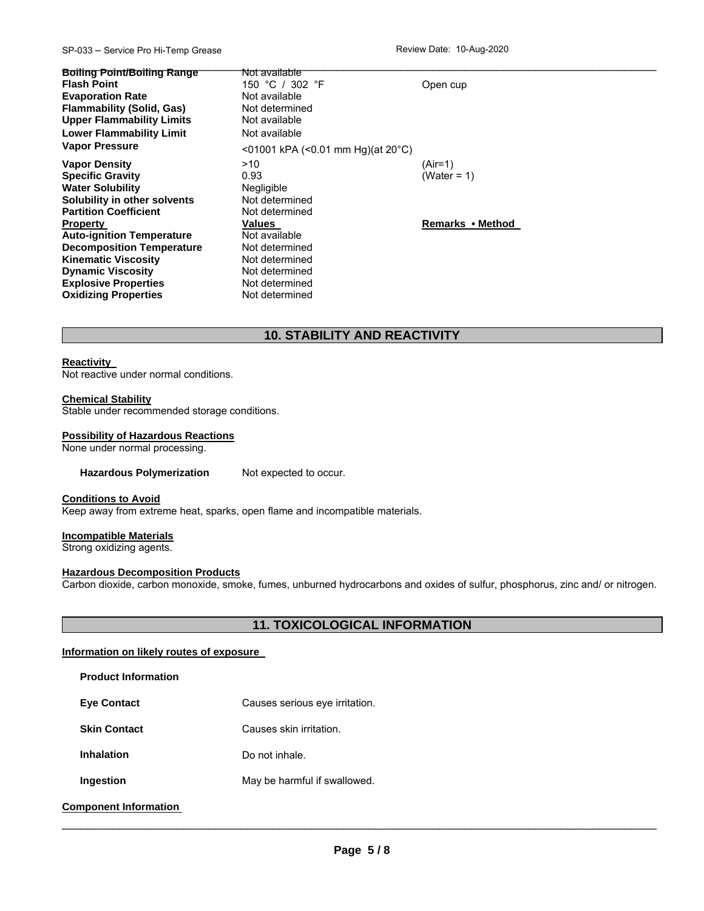#### SP-033 – Service Pro Hi-Temp Grease **Review Date: 10-Aug-2020**

| <b>Boiling Point/Boiling Range</b><br><b>Flash Point</b><br><b>Evaporation Rate</b><br><b>Flammability (Solid, Gas)</b><br><b>Upper Flammability Limits</b><br><b>Lower Flammability Limit</b> | <del>Not available</del><br>150 °C / 302 °F<br>Not available<br>Not determined<br>Not available<br>Not available | Open cup         |
|------------------------------------------------------------------------------------------------------------------------------------------------------------------------------------------------|------------------------------------------------------------------------------------------------------------------|------------------|
| <b>Vapor Pressure</b>                                                                                                                                                                          | <01001 kPA (<0.01 mm Hg)(at $20^{\circ}$ C)                                                                      |                  |
| <b>Vapor Density</b>                                                                                                                                                                           | >10                                                                                                              | (Air=1)          |
| <b>Specific Gravity</b>                                                                                                                                                                        | 0.93                                                                                                             | (Water = $1$ )   |
| <b>Water Solubility</b>                                                                                                                                                                        | Negligible                                                                                                       |                  |
| Solubility in other solvents                                                                                                                                                                   | Not determined                                                                                                   |                  |
| <b>Partition Coefficient</b>                                                                                                                                                                   | Not determined                                                                                                   |                  |
| <b>Property</b>                                                                                                                                                                                | Values                                                                                                           | Remarks • Method |
| <b>Auto-ignition Temperature</b>                                                                                                                                                               | Not available                                                                                                    |                  |
| <b>Decomposition Temperature</b>                                                                                                                                                               | Not determined                                                                                                   |                  |
| <b>Kinematic Viscosity</b>                                                                                                                                                                     | Not determined                                                                                                   |                  |
| <b>Dynamic Viscosity</b>                                                                                                                                                                       | Not determined                                                                                                   |                  |
| <b>Explosive Properties</b>                                                                                                                                                                    | Not determined                                                                                                   |                  |
| <b>Oxidizing Properties</b>                                                                                                                                                                    | Not determined                                                                                                   |                  |

## **10. STABILITY AND REACTIVITY**

#### **Reactivity**

Not reactive under normal conditions.

#### **Chemical Stability**

Stable under recommended storage conditions.

#### **Possibility of Hazardous Reactions**

None under normal processing.

Hazardous Polymerization Not expected to occur.

#### **Conditions to Avoid**

Keep away from extreme heat, sparks, open flame and incompatible materials.

#### **Incompatible Materials**

Strong oxidizing agents.

#### **Hazardous Decomposition Products**

Carbon dioxide, carbon monoxide, smoke, fumes, unburned hydrocarbons and oxides of sulfur, phosphorus, zinc and/ or nitrogen.

### **11. TOXICOLOGICAL INFORMATION**

#### **Information on likely routes of exposure**

| <b>Product Information</b> |                                |
|----------------------------|--------------------------------|
| <b>Eve Contact</b>         | Causes serious eye irritation. |
| <b>Skin Contact</b>        | Causes skin irritation.        |
| <b>Inhalation</b>          | Do not inhale.                 |
| Ingestion                  | May be harmful if swallowed.   |
|                            |                                |

### **Component Information**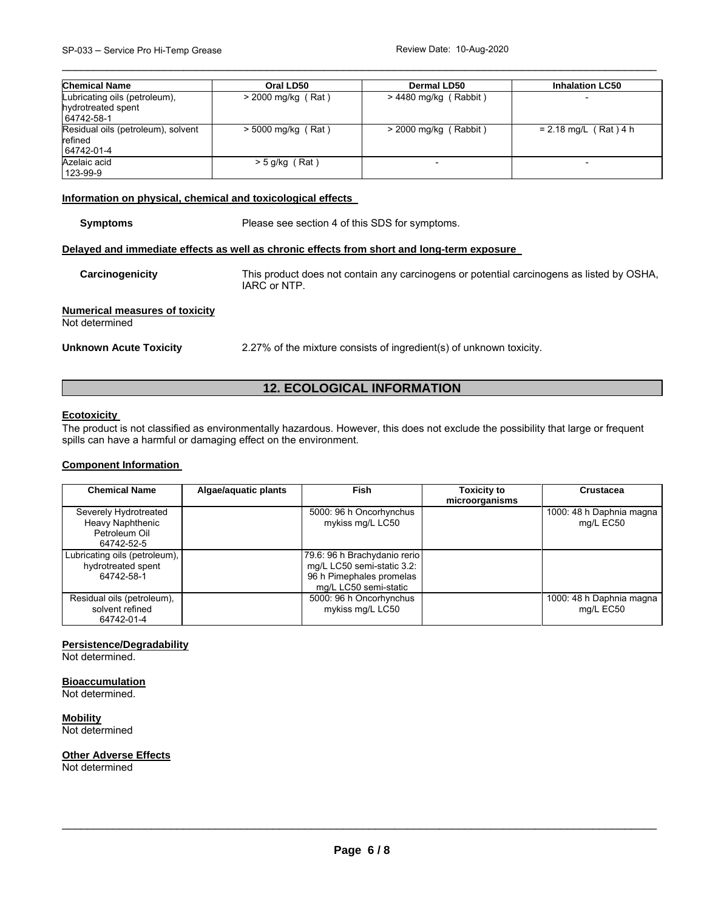| <b>Chemical Name</b>                                              | Oral LD50            | Dermal LD50             | <b>Inhalation LC50</b>   |
|-------------------------------------------------------------------|----------------------|-------------------------|--------------------------|
| Lubricating oils (petroleum),<br>hydrotreated spent<br>64742-58-1 | $> 2000$ mg/kg (Rat) | $> 4480$ mg/kg (Rabbit) | $\overline{\phantom{0}}$ |
| Residual oils (petroleum), solvent<br>refined<br>64742-01-4       | $>$ 5000 mg/kg (Rat) | $>$ 2000 mg/kg (Rabbit) | $= 2.18$ mg/L (Rat) 4 h  |
| Azelaic acid<br>123-99-9                                          | $>$ 5 g/kg (Rat)     |                         |                          |

\_\_\_\_\_\_\_\_\_\_\_\_\_\_\_\_\_\_\_\_\_\_\_\_\_\_\_\_\_\_\_\_\_\_\_\_\_\_\_\_\_\_\_\_\_\_\_\_\_\_\_\_\_\_\_\_\_\_\_\_\_\_\_\_\_\_\_\_\_\_\_\_\_\_\_\_\_\_\_\_\_\_\_\_\_\_\_\_\_\_\_\_\_

#### **Information on physical, chemical and toxicological effects**

| <b>Symptoms</b>                                         | Please see section 4 of this SDS for symptoms.                                                            |  |
|---------------------------------------------------------|-----------------------------------------------------------------------------------------------------------|--|
|                                                         | Delayed and immediate effects as well as chronic effects from short and long-term exposure                |  |
| Carcinogenicity                                         | This product does not contain any carcinogens or potential carcinogens as listed by OSHA,<br>IARC or NTP. |  |
| <b>Numerical measures of toxicity</b><br>Not determined |                                                                                                           |  |
| <b>Unknown Acute Toxicity</b>                           | 2.27% of the mixture consists of ingredient(s) of unknown toxicity.                                       |  |

## **12. ECOLOGICAL INFORMATION**

#### **Ecotoxicity**

The product is not classified as environmentally hazardous. However, this does not exclude the possibility that large or frequent spills can have a harmful or damaging effect on the environment.

#### **Component Information**

| <b>Chemical Name</b>                                                     | Algae/aquatic plants | Fish                                                                                                            | <b>Toxicity to</b><br>microorganisms | <b>Crustacea</b>                      |
|--------------------------------------------------------------------------|----------------------|-----------------------------------------------------------------------------------------------------------------|--------------------------------------|---------------------------------------|
| Severely Hydrotreated<br>Heavy Naphthenic<br>Petroleum Oil<br>64742-52-5 |                      | 5000: 96 h Oncorhynchus<br>mykiss mg/L LC50                                                                     |                                      | 1000: 48 h Daphnia magna<br>mg/L EC50 |
| Lubricating oils (petroleum),<br>hydrotreated spent<br>64742-58-1        |                      | 79.6: 96 h Brachydanio rerio<br>mg/L LC50 semi-static 3.2:<br>96 h Pimephales promelas<br>mg/L LC50 semi-static |                                      |                                       |
| Residual oils (petroleum),<br>solvent refined<br>64742-01-4              |                      | 5000: 96 h Oncorhynchus<br>mykiss mg/L LC50                                                                     |                                      | 1000: 48 h Daphnia magna<br>mg/L EC50 |

#### **Persistence/Degradability**

Not determined.

#### **Bioaccumulation**

Not determined.

**Mobility** Not determined

#### **Other Adverse Effects**

Not determined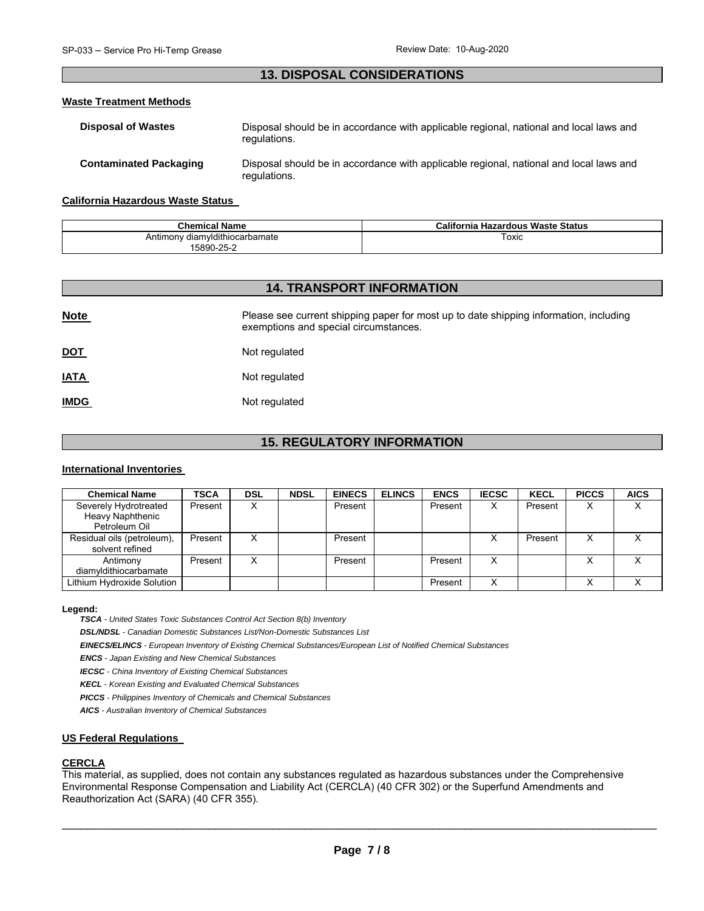## \_\_\_\_\_\_\_\_\_\_\_\_\_\_\_\_\_\_\_\_\_\_\_\_\_\_\_\_\_\_\_\_\_\_\_\_\_\_\_\_\_\_\_\_\_\_\_\_\_\_\_\_\_\_\_\_\_\_\_\_\_\_\_\_\_\_\_\_\_\_\_\_\_\_\_\_\_\_\_\_\_\_\_\_\_\_\_\_\_\_\_\_\_ **13. DISPOSAL CONSIDERATIONS**

#### **Waste Treatment Methods**

| <b>Disposal of Wastes</b>     | Disposal should be in accordance with applicable regional, national and local laws and<br>regulations. |
|-------------------------------|--------------------------------------------------------------------------------------------------------|
| <b>Contaminated Packaging</b> | Disposal should be in accordance with applicable regional, national and local laws and<br>regulations. |

#### **California Hazardous Waste Status**

| <b>Chemical Name</b>           | California Hazardous Waste Status |
|--------------------------------|-----------------------------------|
| Antimony diamyldithiocarbamate | Гохіс                             |
| 5890-25-2                      |                                   |

## **14. TRANSPORT INFORMATION**

| <b>Note</b> | Please see current shipping paper for most up to date shipping information, including<br>exemptions and special circumstances. |
|-------------|--------------------------------------------------------------------------------------------------------------------------------|
| <u>DOT</u>  | Not regulated                                                                                                                  |
| <u>IATA</u> | Not regulated                                                                                                                  |
| <b>IMDG</b> | Not regulated                                                                                                                  |

## **15. REGULATORY INFORMATION**

#### **International Inventories**

| <b>Chemical Name</b>                                       | <b>TSCA</b> | <b>DSL</b> | <b>NDSL</b> | <b>EINECS</b> | <b>ELINCS</b> | <b>ENCS</b> | <b>IECSC</b> | <b>KECL</b> | <b>PICCS</b>      | <b>AICS</b> |
|------------------------------------------------------------|-------------|------------|-------------|---------------|---------------|-------------|--------------|-------------|-------------------|-------------|
| Severely Hydrotreated<br>Heavy Naphthenic<br>Petroleum Oil | Present     | v<br>∧     |             | Present       |               | Present     | х            | Present     | х                 |             |
| Residual oils (petroleum),<br>solvent refined              | Present     | v          |             | Present       |               |             |              | Present     | х                 |             |
| Antimony<br>diamyldithiocarbamate                          | Present     | v          |             | Present       |               | Present     | x            |             | $\checkmark$<br>⌒ |             |
| Lithium Hydroxide Solution                                 |             |            |             |               |               | Present     | x            |             | ິ                 |             |

#### **Legend:**

*TSCA - United States Toxic Substances Control Act Section 8(b) Inventory* 

*DSL/NDSL - Canadian Domestic Substances List/Non-Domestic Substances List* 

*EINECS/ELINCS - European Inventory of Existing Chemical Substances/European List of Notified Chemical Substances* 

*ENCS - Japan Existing and New Chemical Substances* 

*IECSC - China Inventory of Existing Chemical Substances* 

*KECL - Korean Existing and Evaluated Chemical Substances* 

*PICCS - Philippines Inventory of Chemicals and Chemical Substances* 

*AICS - Australian Inventory of Chemical Substances* 

#### **US Federal Regulations**

#### **CERCLA**

This material, as supplied, does not contain any substances regulated as hazardous substances under the Comprehensive Environmental Response Compensation and Liability Act (CERCLA) (40 CFR 302) or the Superfund Amendments and Reauthorization Act (SARA) (40 CFR 355).